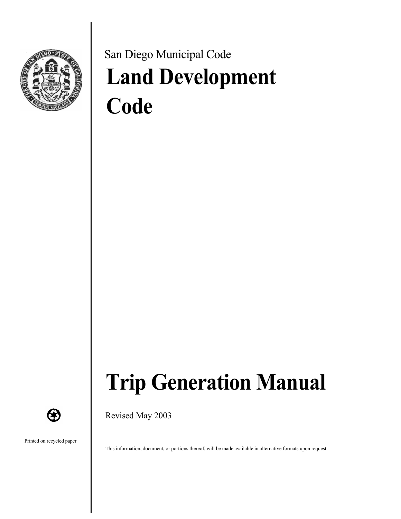

# San Diego Municipal Code **Land Development Code**



Revised May 2003

Printed on recycled paper

**CF** 

This information, document, or portions thereof, will be made available in alternative formats upon request.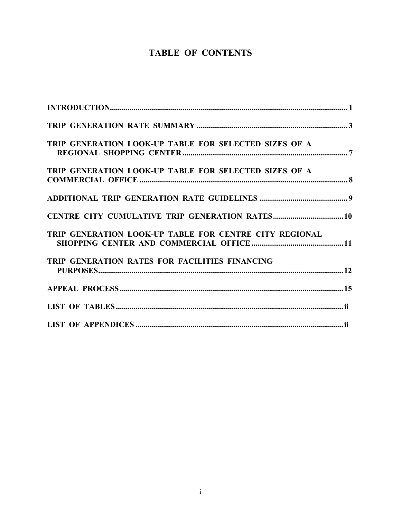### **TABLE OF CONTENTS**

| TRIP GENERATION LOOK-UP TABLE FOR SELECTED SIZES OF A  |  |
|--------------------------------------------------------|--|
| TRIP GENERATION LOOK-UP TABLE FOR SELECTED SIZES OF A  |  |
|                                                        |  |
|                                                        |  |
| TRIP GENERATION LOOK-UP TABLE FOR CENTRE CITY REGIONAL |  |
| TRIP GENERATION RATES FOR FACILITIES FINANCING         |  |
|                                                        |  |
|                                                        |  |
|                                                        |  |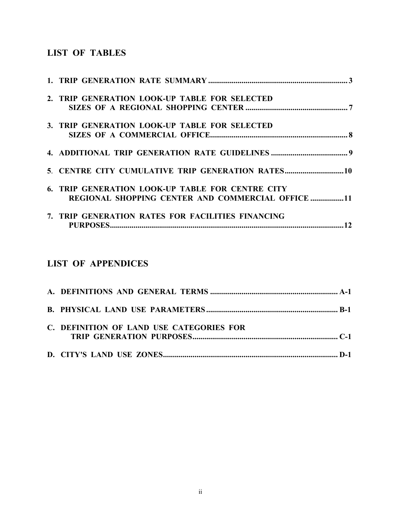### **LIST OF TABLES**

| 2. TRIP GENERATION LOOK-UP TABLE FOR SELECTED     |
|---------------------------------------------------|
|                                                   |
| 3. TRIP GENERATION LOOK-UP TABLE FOR SELECTED     |
|                                                   |
|                                                   |
| 5. CENTRE CITY CUMULATIVE TRIP GENERATION RATES10 |
| 6. TRIP GENERATION LOOK-UP TABLE FOR CENTRE CITY  |
| REGIONAL SHOPPING CENTER AND COMMERCIAL OFFICE 11 |
| 7. TRIP GENERATION RATES FOR FACILITIES FINANCING |
|                                                   |

### **LIST OF APPENDICES**

| C. DEFINITION OF LAND USE CATEGORIES FOR |
|------------------------------------------|
|                                          |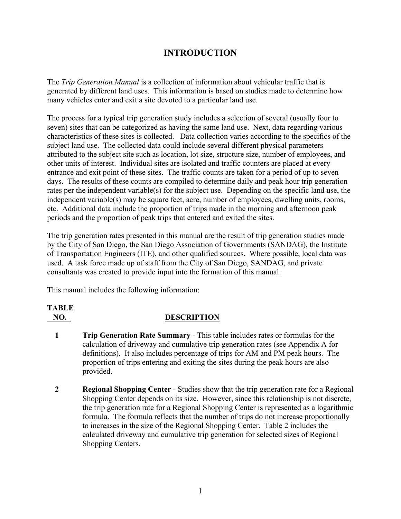### **INTRODUCTION**

The *Trip Generation Manual* is a collection of information about vehicular traffic that is generated by different land uses. This information is based on studies made to determine how many vehicles enter and exit a site devoted to a particular land use.

The process for a typical trip generation study includes a selection of several (usually four to seven) sites that can be categorized as having the same land use. Next, data regarding various characteristics of these sites is collected. Data collection varies according to the specifics of the subject land use. The collected data could include several different physical parameters attributed to the subject site such as location, lot size, structure size, number of employees, and other units of interest. Individual sites are isolated and traffic counters are placed at every entrance and exit point of these sites. The traffic counts are taken for a period of up to seven days. The results of these counts are compiled to determine daily and peak hour trip generation rates per the independent variable(s) for the subject use. Depending on the specific land use, the independent variable(s) may be square feet, acre, number of employees, dwelling units, rooms, etc. Additional data include the proportion of trips made in the morning and afternoon peak periods and the proportion of peak trips that entered and exited the sites.

The trip generation rates presented in this manual are the result of trip generation studies made by the City of San Diego, the San Diego Association of Governments (SANDAG), the Institute of Transportation Engineers (ITE), and other qualified sources. Where possible, local data was used. A task force made up of staff from the City of San Diego, SANDAG, and private consultants was created to provide input into the formation of this manual.

This manual includes the following information:

### **TABLE NO. DESCRIPTION**

- 
- **1 Trip Generation Rate Summary** This table includes rates or formulas for the calculation of driveway and cumulative trip generation rates (see Appendix A for definitions). It also includes percentage of trips for AM and PM peak hours. The proportion of trips entering and exiting the sites during the peak hours are also provided.
- **2 Regional Shopping Center** Studies show that the trip generation rate for a Regional Shopping Center depends on its size. However, since this relationship is not discrete, the trip generation rate for a Regional Shopping Center is represented as a logarithmic formula. The formula reflects that the number of trips do not increase proportionally to increases in the size of the Regional Shopping Center. Table 2 includes the calculated driveway and cumulative trip generation for selected sizes of Regional Shopping Centers.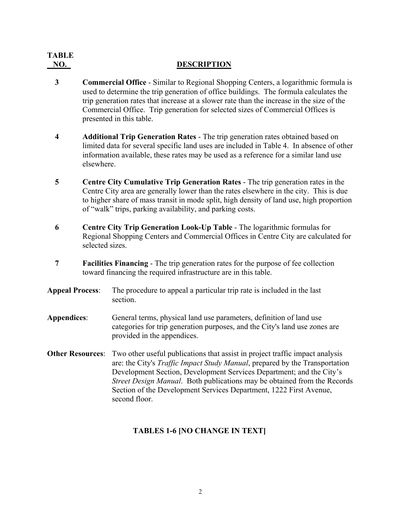# **TABLE NO. DESCRIPTION**

- **3 Commercial Office** Similar to Regional Shopping Centers, a logarithmic formula is used to determine the trip generation of office buildings. The formula calculates the trip generation rates that increase at a slower rate than the increase in the size of the Commercial Office. Trip generation for selected sizes of Commercial Offices is presented in this table.
- **4 Additional Trip Generation Rates** The trip generation rates obtained based on limited data for several specific land uses are included in Table 4. In absence of other information available, these rates may be used as a reference for a similar land use elsewhere.
- **5 Centre City Cumulative Trip Generation Rates** The trip generation rates in the Centre City area are generally lower than the rates elsewhere in the city. This is due to higher share of mass transit in mode split, high density of land use, high proportion of "walk" trips, parking availability, and parking costs.
- **6 Centre City Trip Generation Look-Up Table** The logarithmic formulas for Regional Shopping Centers and Commercial Offices in Centre City are calculated for selected sizes.
- **7 Facilities Financing** The trip generation rates for the purpose of fee collection toward financing the required infrastructure are in this table.
- **Appeal Process**: The procedure to appeal a particular trip rate is included in the last section.
- **Appendices**: General terms, physical land use parameters, definition of land use categories for trip generation purposes, and the City's land use zones are provided in the appendices.
- **Other Resources**: Two other useful publications that assist in project traffic impact analysis are: the City's *Traffic Impact Study Manual*, prepared by the Transportation Development Section, Development Services Department; and the City's *Street Design Manual*. Both publications may be obtained from the Records Section of the Development Services Department, 1222 First Avenue, second floor.

### **TABLES 1-6 [NO CHANGE IN TEXT]**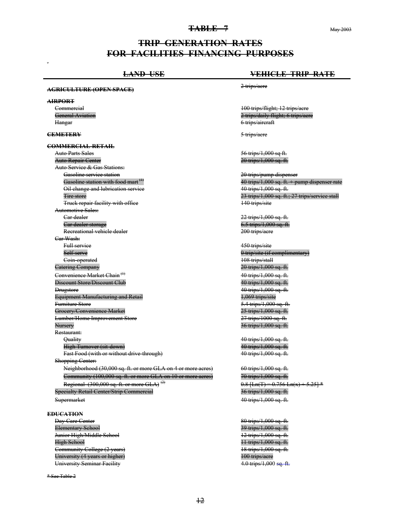#### **TABLE 7** May 2003

### **TRIP GENERATION RATES FOR FACILITIES FINANCING PURPOSES**

### **LAND USE VEHICLE TRIP RATE AGRICULTURE (OPEN SPACE)** 2 trips/acre **AIRPORT** 100 trips/flight; 12 trips/acre General Aviation **2** trips/daily flight; 6 trips/acre Hangar 6 trips/aircraft **CEMETERY** 5 trips/acre **COMMERCIAL-RETAIL** Auto Parts Sales **6. The Sales** 56 trips/1,000 sq ft. Auto Repair Center **20 trips/1,000 sq. ft.** Auto Service & Gas Stations: Gasoline service station **Contract Contract Contract Contract Contract Contract Contract Contract Contract Contract Contract Contract Contract Contract Contract Contract Contract Contract Contract Contract Contract Contrac** Gasoline station with food mart  $^{(1)}$   $\qquad \qquad$   $\qquad \qquad$  40 trips/1,000 sq. ft. + pump dispenser rate Oil change and lubrication service 40 trips/1,000 sq. ft. Tire store 23 trips/1,000 sq. ft.; 27 trips/service stall Truck repair facility with office 140 trips/site Automotive Sales: Ear dealer **Car dealer** 22 trips/1,000 sq. ft.<br>
Car dealer storage **Car dealer** 2000 sq. ft.  $6.5$  trips/1,000 sq. ft. Recreational vehicle dealer 200 trips/acre Car Wash: Full service 450 trips/site Self-serve 80 trip/site (if complimentary) Eoin-operated 108 trips/stall<br>
108 trips/stall<br>
20 trips/1.000 sq. ft. **Catering Company**  $\frac{1}{2}$ Convenience Market Chain  $\left(1\right)$  40 trips/1,000 sq. ft. Discount Store/Discount Club 40 trips/1,000 sq. ft. Drugstore 40 trips/1,000 sq. ft.<br>
Equipment Manufacturing and Retail and the state of the 4,069 trips/site 4,069 trips/site Equipment Manufacturing and Retail Furniture Store 5.5.4 trips<sup>/1</sup>,000 sq. ft. Groeery/Convenience Market 25 trips/1,000 sq. ft. Lumber/Home Improvement Store 27 trips/1000 sq. ft. Nursery 36 trips/1,000 sq. ft. Restaurant: Quality 40 trips/1,000 sq. ft. High Turnover (sit-down)  $40$  trips/1,000 sq. ft. Fast Food (with or without drive-through) 40 trips/1,000 sq. ft. Shopping Center: Neighborhood (30,000 sq. ft. or more GLA on 4 or more acres) 60 trips/1,000 sq. ft. Community (100,000 sq. ft. or more GLA on 10 or more acres) 70 trips/1,000 sq. ft. Regional (300,000 sq. ft. or more GLA)<sup>(2)</sup> 0.8  $\text{Ln}(T) = 0.756 \text{Ln}(x) + 5.25$ <sup>\*</sup> Specialty Retail Center/Strip Commercial 36 trips/1,000 sq. ft. Supermarket 30 and 30 and 40 trips/1,000 sq. ft. **EDUCATION**  Day Care Center 80 trips/1,000 sq. ft. Elementary School 39 trips/1,000 sq. ft. Junior High/Middle School 12 trips/1,000 sq. ft. High School 11 trips/1,000 sq. ft. <del>Furnitt<br>Grocer</del><br><del>Lumbe</del><br>Nurser<br>Restau<br>Qu<br>Hir

\* See Table 2

.

Community College (2 years) 18 trips/1,000 sq. ft. University (4 years or higher) 100 trips/acre University Seminar Facility **4.0 trips/1,000 sq. ft.**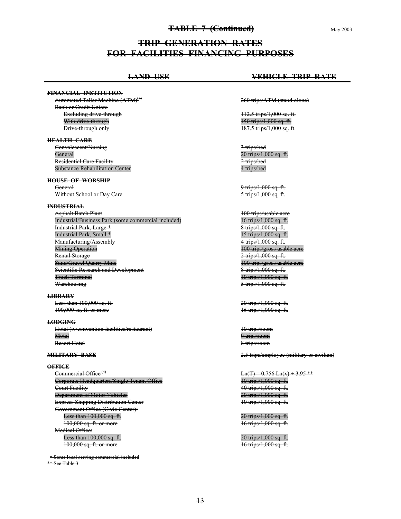#### **TABLE 7 (Continued)** May 2003

**TRIP GENERATION RATES FOR FACILITIES FINANCING PURPOSES** 

#### **FINANCIAL INSTITUTION**

Automated Teller Machine (ATM)<sup>(3)</sup> Bank or Credit Union: Excluding drive-through 112.5 trips/1,000 sq. ft. With drive-through 150 trips/1,000 sq. ft. Drive-through only 187.5 trips/1,000 sq. ft.

#### **HEALTH CARE**

 Convalescent/Nursing 3 trips/bed General 20 trips/1,000 sq. ft. Residential Care Facility 2 trips/bed Substance Rehabilitation Center 4 trips/bed Eri<br>ALTI<br>Conva<br>Genera<br>Reside<br>Substa

#### **HOUSE OF WORSHIP**

General 9 trips/1,000 sq. ft. Without School or Day Care 5 trips/1,000 sq. ft.

#### **INDUSTRIAL**

Asphalt Batch Plant<br>100 trips/usable acre<br>16 trips/1.000 sq. ft. Industrial/Business Park (some commercial included)<br>
Industrial Park, Large \* 11.1 and 1.1 and 1.1 and 1.1 and 1.1 and 1.1.1 and 1.1.1.1.1.1.1.1.1.1.1.1.1.1.1.1. Industrial Park, Large \* 8 trips/1,000 sq. ft. Industrial Park, Small \* 15 trips/1,000 sq. ft.<br>Manufacturing/Assembly Manufacturing/Assembly Mining Operation **Minimum** 100 trips/gross usable acre Rental Storage 2 trips/1,000 sq. ft. Sand/Gravel Quarry Mine 100 trips/gross usable acre Scientific Research and Development **8 trips/1,000 sq. ft.** Truck Terminal 10 trips/1,000 sq. ft.<br>
Warehousing

#### **LIBRARY**

 Less than 100,000 sq. ft. 20 trips/1,000 sq. ft. 100,000 sq. ft. or more 16 trips/1,000 sq. ft.

#### **LODGING**

Hotel (w/convention facilities/restaurant) 10 trips/room Motel 9 trips/room Resort Hotel 8 trips/room 188,88<br><del>DBGIN</del><br>Hotel<br>Motel<br>Resort<br>LITAl

**OFFICE**<br>Commercial Office<sup>(4)</sup> Corporate Headquarters/Single Tenant Office 10 trips/1,000 sq. ft. Court Facility 40 trips/1,000 sq. ft. Department of Motor Vehicles 20 trips/1,000 sq. ft. Express Shipping Distribution Center 10 trips/1,000 sq. ft. Government Office (Civic Center): Less than 100,000 sq. ft.<br>
100,000 sq. ft. or more<br>
16 trips/1,000 sq. ft.  $100,000$  sq. ft. or more Medical Office: Less than 100,000 sq. ft. 20 trips/1,000 sq. ft. 100,000 sq. ft. or more 16 trips/1,000 sq. ft.

 \* Some local serving commercial included \*\* See Table 3

### **LAND USE VEHICLE TRIP RATE**

260 trips/ATM (stand-alone)

5 trips/1,000 sq. ft.

**MILITARY BASE** 2.5 trips/employee (military or civilian)

 $Ln(T) = 0.756 Ln(x) + 3.95$  \*\*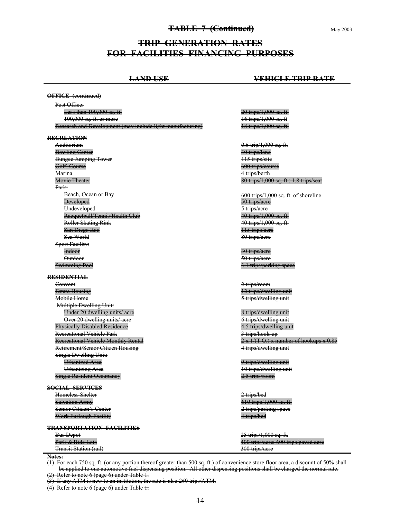#### **TABLE 7 (Continued)** May 2003

### **TRIP GENERATION RATES FOR FACILITIES FINANCING PURPOSES**

### **LAND USE VEHICLE TRIP RATE OFFICE (continued)** Post Office: Less than 100,000 sq. ft. 20 trips/1,000 sq. ft. 100,000 sq. ft. or more Research and Development (may include light manufacturing) 18 trips/1,000 sq. ft. **RECREATION**  Auditorium **0.6 trip/1,000 sq. ft.** Bowling Center 30 trips/lane Bungee Jumping Tower 115 trips/site<br>
Golf Course 600 trips/cou 600 trips/course Marina **4** trips/berth Movie Theater **80** trips/1,000 sq. ft.; 1.8 trips/seat Park: Beach, Ocean or Bay **600** trips/1,000 sq. ft. of shoreline Developed **Exercise 2** trips/acre 50 trips/acre Undeveloped 5 trips/acre Racquetball/Tennis/Health Club 40 trips/1,000 sq. ft. Roller Skating Rink **40** trips/1,000 sq. ft. San Diego Zoo 115 trips/acre Sea World 80 trips/acre Sport Facility: Indoor 30 trips/acre Outdoor 50 trips/acre 3.1 trips/parking space **RESIDENTIAL**  Convent 2 trips/room Estate Housing 12 trips/dwelling unit Mobile Home **3** trips/dwelling unit Multiple Dwelling Unit: Under 20 dwelling units/acre acreases and the state of the Strips/dwelling unit Over 20 dwelling units/acre and the contract of the contract of trips/dwelling unit Physically Disabled Residence 4.5 trips/dwelling unit Recreational Vehicle Park 3 trips/hook-up Recreational Vehicle Monthly Rental 2 x 1/(T.O.) x number of hookups x 0.85 Retirement/Senior Citizen Housing 4 trips/dwelling unit Single Dwelling Unit: Urbanized Area 9 trips/dwelling unit Urbanizing Area 10 trips/dwelling unit Single Resident Occupancy 2.5 trips/room **SOCIAL SERVICES**  Homeless Shelter 2 trips/bed Salvation Army 610 trips/1,000 sq. ft. Senior Citizen's Center 2 trips/parking space Work Furlough Facility 4 trips/bed **TRANSPORTATION FACILITIES**  Bus Depot<br>
Park & Ride Lots<br>
200 trips/acre: 600 to 400 trips/acre; 600 trips/paved acre Transit Station (rail) 300 trips/acre **Swimming Pool**

**Notes:** 

(1) For each 750 sq. ft. (or any portion thereof greater than 500 sq. ft.) of convenience store floor area, a discount of 50% shall be applied to one automotive fuel dispensing position. All other dispensing positions shall be charged the normal rate.

(2) Refer to note 6 (page 6) under Table 1.

(3) If any ATM is new to an institution, the rate is also 260 trips/ATM.

(4) Refer to note 6 (page 6) under Table 1.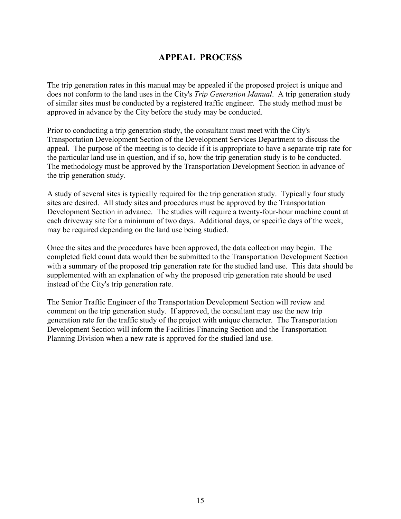### **APPEAL PROCESS**

The trip generation rates in this manual may be appealed if the proposed project is unique and does not conform to the land uses in the City's *Trip Generation Manual*. A trip generation study of similar sites must be conducted by a registered traffic engineer. The study method must be approved in advance by the City before the study may be conducted.

Prior to conducting a trip generation study, the consultant must meet with the City's Transportation Development Section of the Development Services Department to discuss the appeal. The purpose of the meeting is to decide if it is appropriate to have a separate trip rate for the particular land use in question, and if so, how the trip generation study is to be conducted. The methodology must be approved by the Transportation Development Section in advance of the trip generation study.

A study of several sites is typically required for the trip generation study. Typically four study sites are desired. All study sites and procedures must be approved by the Transportation Development Section in advance. The studies will require a twenty-four-hour machine count at each driveway site for a minimum of two days. Additional days, or specific days of the week, may be required depending on the land use being studied.

Once the sites and the procedures have been approved, the data collection may begin. The completed field count data would then be submitted to the Transportation Development Section with a summary of the proposed trip generation rate for the studied land use. This data should be supplemented with an explanation of why the proposed trip generation rate should be used instead of the City's trip generation rate.

The Senior Traffic Engineer of the Transportation Development Section will review and comment on the trip generation study. If approved, the consultant may use the new trip generation rate for the traffic study of the project with unique character. The Transportation Development Section will inform the Facilities Financing Section and the Transportation Planning Division when a new rate is approved for the studied land use.